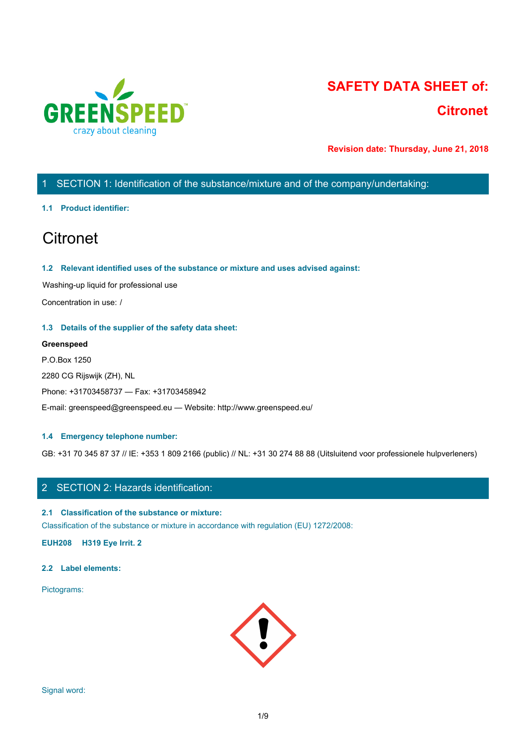

# **SAFETY DATA SHEET of: Citronet**

**Revision date: Thursday, June 21, 2018**

# 1 SECTION 1: Identification of the substance/mixture and of the company/undertaking:

### **1.1 Product identifier:**

# **Citronet**

### **1.2 Relevant identified uses of the substance or mixture and uses advised against:**

Washing-up liquid for professional use

Concentration in use: /

### **1.3 Details of the supplier of the safety data sheet:**

### **Greenspeed**

P.O.Box 1250 2280 CG Rijswijk (ZH), NL Phone: +31703458737 — Fax: +31703458942 E-mail: greenspeed@greenspeed.eu — Website: http://www.greenspeed.eu/

### **1.4 Emergency telephone number:**

GB: +31 70 345 87 37 // IE: +353 1 809 2166 (public) // NL: +31 30 274 88 88 (Uitsluitend voor professionele hulpverleners)

# 2 SECTION 2: Hazards identification:

### **2.1 Classification of the substance or mixture:**

Classification of the substance or mixture in accordance with regulation (EU) 1272/2008:

**EUH208 H319 Eye Irrit. 2**

### **2.2 Label elements:**

Pictograms:

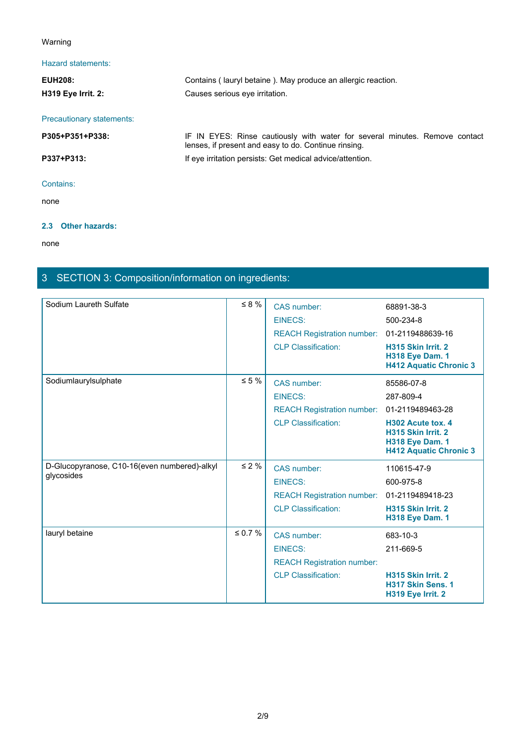# Warning

# Hazard statements:

| Warning                   |                                                                                                                                     |
|---------------------------|-------------------------------------------------------------------------------------------------------------------------------------|
| Hazard statements:        |                                                                                                                                     |
| <b>EUH208:</b>            | Contains (lauryl betaine). May produce an allergic reaction.                                                                        |
| H319 Eye Irrit. 2:        | Causes serious eye irritation.                                                                                                      |
| Precautionary statements: |                                                                                                                                     |
| P305+P351+P338:           | IF IN EYES: Rinse cautiously with water for several minutes. Remove contact<br>lenses, if present and easy to do. Continue rinsing. |
| P337+P313:                | If eye irritation persists: Get medical advice/attention.                                                                           |
| Contains:                 |                                                                                                                                     |
| none                      |                                                                                                                                     |

# **2.3 Other hazards:**

none and the state of the state of the state of the state of the state of the state of the state of the state of the state of the state of the state of the state of the state of the state of the state of the state of the s

# 3 SECTION 3: Composition/information on ingredients:

| Sodium Laureth Sulfate                                     | $\leq 8 \%$   | CAS number:<br>EINECS:                                                                           | 68891-38-3<br>500-234-8                                                                                                                           |
|------------------------------------------------------------|---------------|--------------------------------------------------------------------------------------------------|---------------------------------------------------------------------------------------------------------------------------------------------------|
|                                                            |               | <b>REACH Registration number:</b><br><b>CLP Classification:</b>                                  | 01-2119488639-16<br>H315 Skin Irrit. 2<br><b>H318 Eye Dam. 1</b><br><b>H412 Aquatic Chronic 3</b>                                                 |
| Sodiumlaurylsulphate                                       | $\leq 5\%$    | CAS number:<br><b>EINECS:</b><br><b>REACH Registration number:</b><br><b>CLP Classification:</b> | 85586-07-8<br>287-809-4<br>01-2119489463-28<br>H302 Acute tox. 4<br>H315 Skin Irrit. 2<br><b>H318 Eye Dam. 1</b><br><b>H412 Aquatic Chronic 3</b> |
| D-Glucopyranose, C10-16(even numbered)-alkyl<br>glycosides | $\leq 2 \%$   | CAS number:<br>EINECS:<br><b>REACH Registration number:</b><br><b>CLP Classification:</b>        | 110615-47-9<br>600-975-8<br>01-2119489418-23<br>H315 Skin Irrit. 2<br><b>H318 Eye Dam. 1</b>                                                      |
| lauryl betaine                                             | $\leq 0.7 \%$ | CAS number:<br>EINECS:<br><b>REACH Registration number:</b><br><b>CLP Classification:</b>        | 683-10-3<br>211-669-5<br>H315 Skin Irrit. 2<br>H317 Skin Sens. 1<br>H319 Eye Irrit. 2                                                             |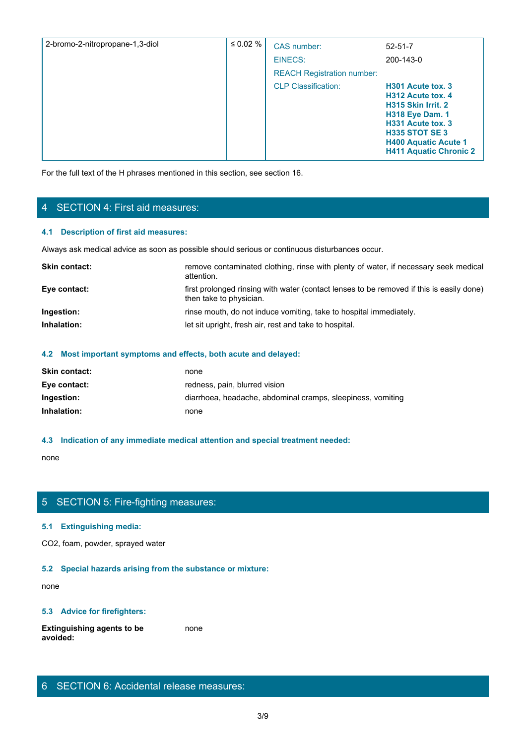| 2-bromo-2-nitropropane-1,3-diol | ≤ 0.02 % | CAS number:                       | $52 - 51 - 7$                                                                                                                                                                                        |
|---------------------------------|----------|-----------------------------------|------------------------------------------------------------------------------------------------------------------------------------------------------------------------------------------------------|
|                                 |          | EINECS:                           | 200-143-0                                                                                                                                                                                            |
|                                 |          | <b>REACH Registration number:</b> |                                                                                                                                                                                                      |
|                                 |          | <b>CLP Classification:</b>        | H301 Acute tox. 3<br>H312 Acute tox, 4<br>H315 Skin Irrit. 2<br><b>H318 Eye Dam. 1</b><br>H331 Acute tox, 3<br><b>H335 STOT SE 3</b><br><b>H400 Aquatic Acute 1</b><br><b>H411 Aquatic Chronic 2</b> |

For the full text of the H phrases mentioned in this section, see section 16.

# 4 SECTION 4: First aid measures:

### **4.1 Description of first aid measures:**

Always ask medical advice as soon as possible should serious or continuous disturbances occur.

| <b>Skin contact:</b> | remove contaminated clothing, rinse with plenty of water, if necessary seek medical<br>attention.                   |
|----------------------|---------------------------------------------------------------------------------------------------------------------|
| Eye contact:         | first prolonged rinsing with water (contact lenses to be removed if this is easily done)<br>then take to physician. |
| Ingestion:           | rinse mouth, do not induce vomiting, take to hospital immediately.                                                  |
| Inhalation:          | let sit upright, fresh air, rest and take to hospital.                                                              |

### **4.2 Most important symptoms and effects, both acute and delayed:**

| none                                                        |
|-------------------------------------------------------------|
| redness, pain, blurred vision                               |
| diarrhoea, headache, abdominal cramps, sleepiness, vomiting |
| none                                                        |
|                                                             |

## **4.3 Indication of any immediate medical attention and special treatment needed:**

none and the state of the state of the state of the state of the state of the state of the state of the state of the state of the state of the state of the state of the state of the state of the state of the state of the s

# 5 SECTION 5: Fire-fighting measures:

### **5.1 Extinguishing media:**

CO2, foam, powder, sprayed water

### **5.2 Special hazards arising from the substance or mixture:**

none and the state of the state of the state of the state of the state of the state of the state of the state of the state of the state of the state of the state of the state of the state of the state of the state of the s

### **5.3 Advice for firefighters:**

**Extinguishing agents to be avoided:** none and the state of the state of the state of the state of the state of the state of the state of the state of the state of the state of the state of the state of the state of the state of the state of the state of the s

# 6 SECTION 6: Accidental release measures: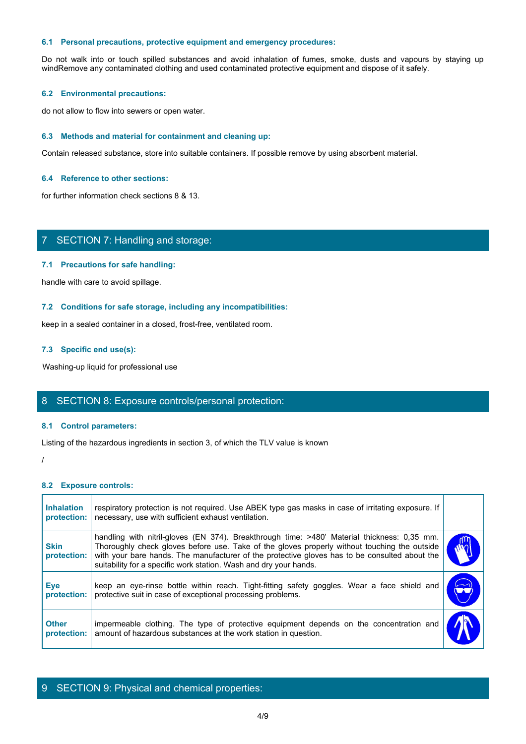### **6.1 Personal precautions, protective equipment and emergency procedures:**

6.1 Personal precautions, protective equipment and emergency procedures:<br>Do not walk into or touch spilled substances and avoid inhalation of fumes, smoke, dusts and vapours by staying up<br>windRemove any contaminated clothi windRemove any contaminated clothing and used contaminated protective equipment and dispose of it safely.

#### **6.2 Environmental precautions:**

do not allow to flow into sewers or open water.

#### **6.3 Methods and material for containment and cleaning up:**

Contain released substance, store into suitable containers. If possible remove by using absorbent material.

### **6.4 Reference to other sections:**

for further information check sections 8 & 13.

# 7 SECTION 7: Handling and storage:

### **7.1 Precautions for safe handling:**

#### **7.2 Conditions for safe storage, including any incompatibilities:**

### **7.3 Specific end use(s):**

# 8 SECTION 8: Exposure controls/personal protection:

#### **8.1 Control parameters:**

#### **8.2 Exposure controls:**

| 7.1 Precaduons for sale nandling.                                                                                                                                                                                                                                                                                                                                 |                       |
|-------------------------------------------------------------------------------------------------------------------------------------------------------------------------------------------------------------------------------------------------------------------------------------------------------------------------------------------------------------------|-----------------------|
| handle with care to avoid spillage.                                                                                                                                                                                                                                                                                                                               |                       |
| 7.2 Conditions for safe storage, including any incompatibilities:                                                                                                                                                                                                                                                                                                 |                       |
| keep in a sealed container in a closed, frost-free, ventilated room.                                                                                                                                                                                                                                                                                              |                       |
| 7.3 Specific end use(s):                                                                                                                                                                                                                                                                                                                                          |                       |
| Washing-up liquid for professional use                                                                                                                                                                                                                                                                                                                            |                       |
| 8 SECTION 8: Exposure controls/personal protection:                                                                                                                                                                                                                                                                                                               |                       |
| 8.1 Control parameters:                                                                                                                                                                                                                                                                                                                                           |                       |
| Listing of the hazardous ingredients in section 3, of which the TLV value is known                                                                                                                                                                                                                                                                                |                       |
|                                                                                                                                                                                                                                                                                                                                                                   |                       |
| 8.2 Exposure controls:                                                                                                                                                                                                                                                                                                                                            |                       |
| respiratory protection is not required. Use ABEK type gas masks in case of irritating exposure. If<br>necessary, use with sufficient exhaust ventilation.                                                                                                                                                                                                         |                       |
| handling with nitril-gloves (EN 374). Breakthrough time: >480' Material thickness: 0,35 mm.<br>Thoroughly check gloves before use. Take of the gloves properly without touching the outside<br>with your bare hands. The manufacturer of the protective gloves has to be consulted about the<br>suitability for a specific work station. Wash and dry your hands. | W                     |
| keep an eye-rinse bottle within reach. Tight-fitting safety goggles. Wear a face shield and<br>protective suit in case of exceptional processing problems.                                                                                                                                                                                                        | $\blacktriangleright$ |
| impermeable clothing. The type of protective equipment depends on the concentration and                                                                                                                                                                                                                                                                           |                       |
|                                                                                                                                                                                                                                                                                                                                                                   |                       |

### 9 SECTION 9: Physical and chemical properties: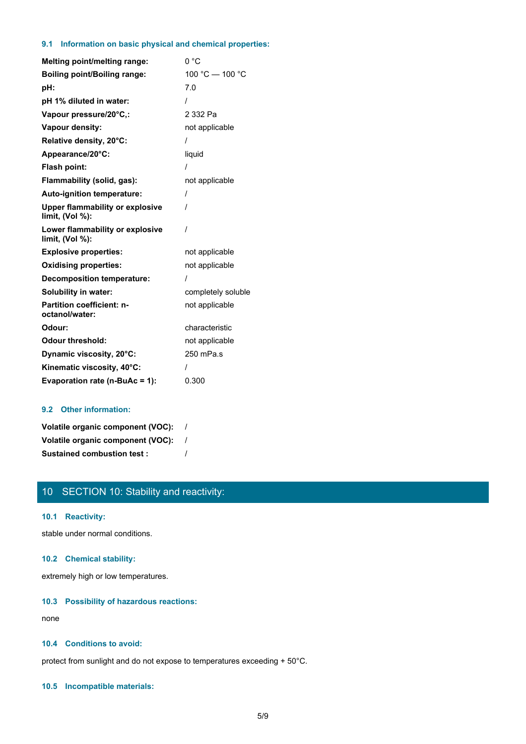### **9.1 Information on basic physical and chemical properties:**

| <b>Melting point/melting range:</b>                       | 0 °C               |
|-----------------------------------------------------------|--------------------|
| <b>Boiling point/Boiling range:</b>                       | 100 °C - 100 °C    |
| pH:                                                       | 7.0                |
| pH 1% diluted in water:                                   | Ι                  |
| Vapour pressure/20°C,:                                    | 2 332 Pa           |
| Vapour density:                                           | not applicable     |
| Relative density, 20°C:                                   |                    |
| Appearance/20°C:                                          | liquid             |
| Flash point:                                              |                    |
| Flammability (solid, gas):                                | not applicable     |
| Auto-ignition temperature:                                | $\prime$           |
| <b>Upper flammability or explosive</b><br>limit, (Vol %): | 1                  |
| Lower flammability or explosive<br>limit, (Vol %):        | 1                  |
| <b>Explosive properties:</b>                              | not applicable     |
| <b>Oxidising properties:</b>                              | not applicable     |
| <b>Decomposition temperature:</b>                         | 1                  |
| <b>Solubility in water:</b>                               | completely soluble |
| <b>Partition coefficient: n-</b><br>octanol/water:        | not applicable     |
| Odour:                                                    | characteristic     |
| <b>Odour threshold:</b>                                   | not applicable     |
| Dynamic viscosity, 20°C:                                  | 250 mPa.s          |
| Kinematic viscosity, 40°C:                                |                    |
| Evaporation rate (n-BuAc = 1):                            | 0.300              |

### **9.2 Other information:**

| Volatile organic component (VOC): |  |
|-----------------------------------|--|
| Volatile organic component (VOC): |  |
| <b>Sustained combustion test:</b> |  |

# 10 SECTION 10: Stability and reactivity:

### **10.1 Reactivity:**

stable under normal conditions.

# **10.2 Chemical stability:**

extremely high or low temperatures.

### **10.3 Possibility of hazardous reactions:**

none and the state of the state of the state of the state of the state of the state of the state of the state of the state of the state of the state of the state of the state of the state of the state of the state of the s

# **10.4 Conditions to avoid:**

protect from sunlight and do not expose to temperatures exceeding + 50°C.

### **10.5 Incompatible materials:**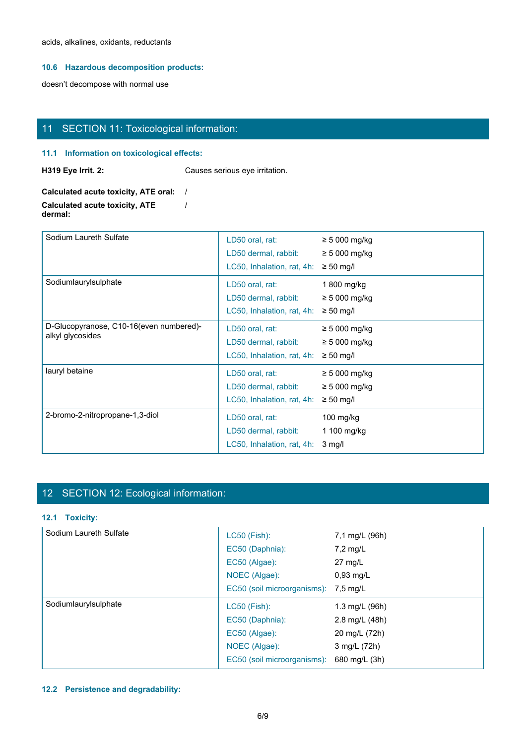acids, alkalines, oxidants, reductants

### **10.6 Hazardous decomposition products:**

doesn't decompose with normal use

# 11 SECTION 11: Toxicological information:

### **11.1 Information on toxicological effects:**

**H319 Eye Irrit. 2:** Causes serious eye irritation.

**Calculated acute toxicity, ATE oral:** / **Calculated acute toxicity, ATE dermal:** /

| Sodium Laureth Sulfate                                      | LD50 oral, rat:<br>LD50 dermal, rabbit:<br>LC50, Inhalation, rat, 4h: | $\geq$ 5 000 mg/kg<br>$\geq$ 5 000 mg/kg<br>$\geq 50$ mg/l |
|-------------------------------------------------------------|-----------------------------------------------------------------------|------------------------------------------------------------|
| Sodiumlaurylsulphate                                        | LD50 oral, rat:<br>LD50 dermal, rabbit:<br>LC50, Inhalation, rat, 4h: | 1 800 mg/kg<br>$\geq$ 5 000 mg/kg<br>$\geq 50$ mg/l        |
| D-Glucopyranose, C10-16(even numbered)-<br>alkyl glycosides | LD50 oral, rat:<br>LD50 dermal, rabbit:<br>LC50, Inhalation, rat, 4h: | $\geq$ 5 000 mg/kg<br>$\geq$ 5 000 mg/kg<br>$\geq 50$ mg/l |
| lauryl betaine                                              | LD50 oral, rat:<br>LD50 dermal, rabbit:<br>LC50, Inhalation, rat, 4h: | $\geq 5000$ mg/kg<br>$\geq$ 5 000 mg/kg<br>$\geq 50$ mg/l  |
| 2-bromo-2-nitropropane-1,3-diol                             | LD50 oral, rat:<br>LD50 dermal, rabbit:<br>LC50, Inhalation, rat, 4h: | $100$ mg/kg<br>1 100 mg/kg<br>$3 \text{ mg/l}$             |

# 12 SECTION 12: Ecological information:

## **12.1 Toxicity:**

| Sodium Laureth Sulfate | LC50 (Fish):                         | 7,1 mg/L (96h)    |
|------------------------|--------------------------------------|-------------------|
|                        | EC50 (Daphnia):                      | $7,2$ mg/L        |
|                        | EC50 (Algae):                        | $27 \text{ mg/L}$ |
|                        | NOEC (Algae):                        | $0,93$ mg/L       |
|                        | EC50 (soil microorganisms): 7,5 mg/L |                   |
|                        |                                      |                   |
| Sodiumlaurylsulphate   | $LC50$ (Fish):                       | 1.3 mg/L (96h)    |
|                        | EC50 (Daphnia):                      | 2.8 mg/L (48h)    |
|                        | EC50 (Algae):                        | 20 mg/L (72h)     |
|                        | NOEC (Algae):                        | 3 mg/L (72h)      |

# **12.2 Persistence and degradability:**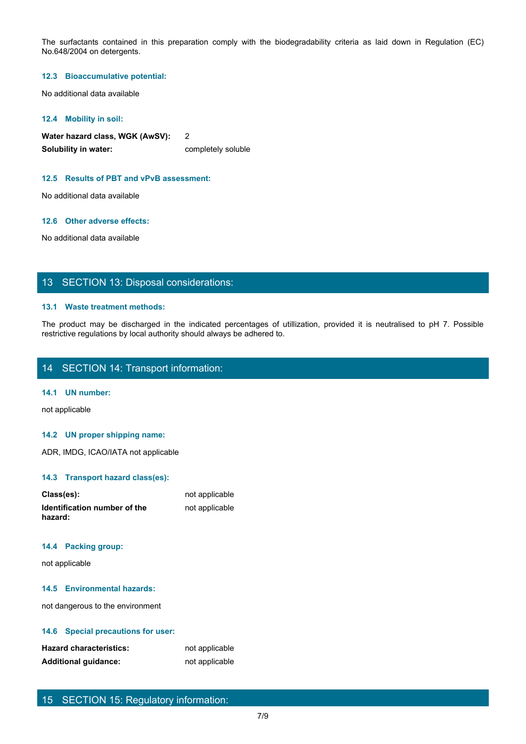The surfactants contained in this preparation comply with the biodegradability criteria as laid down in Regulation (EC)<br>No.648/2004 on detergents.<br>12.3 Bioaccumulative potential:<br>No additional data available No.648/2004 on detergents.

#### **12.3 Bioaccumulative potential:**

No additional data available

#### **12.4 Mobility in soil:**

**Water hazard class, WGK (AwSV):** 2 **Solubility in water:** completely soluble

### **12.5 Results of PBT and vPvB assessment:**

No additional data available

### **12.6 Other adverse effects:**

No additional data available

### 13 SECTION 13: Disposal considerations:

### **13.1 Waste treatment methods:**

The product may be discharged in the indicated percentages of utilization of the indicated be discharged in the indicated percentages of utilization of the indicated percentages of utilization, provided it is neutralised t restrictive regulations by local authority should always be adhered to.

# 14 SECTION 14: Transport information:

### **14.1 UN number:**

not applicable

### **14.2 UN proper shipping name:**

ADR, IMDG, ICAO/IATA not applicable

### **14.3 Transport hazard class(es):**

| Class(es):                              | not applicable |
|-----------------------------------------|----------------|
| Identification number of the<br>hazard: | not applicable |

### **14.4 Packing group:**

not applicable

### **14.5 Environmental hazards:**

not dangerous to the environment

### **14.6 Special precautions for user:**

| <b>Hazard characteristics:</b> | not applicable |
|--------------------------------|----------------|
| <b>Additional guidance:</b>    | not applicable |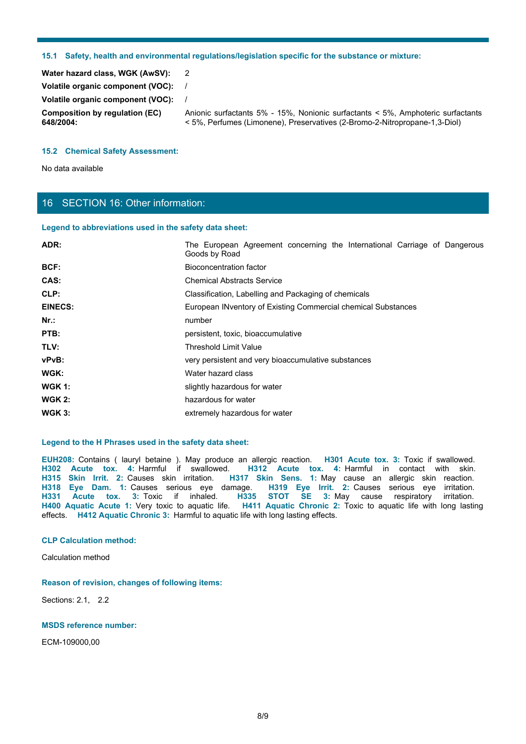### **15.1 Safety, health and environmental regulations/legislation specific for the substance or mixture:**

| 15.1                                                                 | Safety, health and environmental regulations/legislation specific for the substance or mixture:                                                               |  |
|----------------------------------------------------------------------|---------------------------------------------------------------------------------------------------------------------------------------------------------------|--|
|                                                                      | $\overline{2}$                                                                                                                                                |  |
| Water hazard class, WGK (AwSV):<br>Volatile organic component (VOC): | $\prime$                                                                                                                                                      |  |
| Volatile organic component (VOC):                                    | $\prime$                                                                                                                                                      |  |
| <b>Composition by regulation (EC)</b><br>648/2004:                   | Anionic surfactants 5% - 15%, Nonionic surfactants < 5%, Amphoteric surfactants<br>< 5%, Perfumes (Limonene), Preservatives (2-Bromo-2-Nitropropane-1,3-Diol) |  |
| <b>15.2 Chemical Safety Assessment:</b>                              |                                                                                                                                                               |  |

### **15.2 Chemical Safety Assessment:**

# 16 SECTION 16: Other information:

### **Legend to abbreviations used in the safety data sheet:**

|                                                        | 15.1 Safety, health and environmental regulations/legislation specific for the substance or mixture:                                                                                                                                                                                                                                                                                                                                                                                                                                                                                                                                                                                                                   |
|--------------------------------------------------------|------------------------------------------------------------------------------------------------------------------------------------------------------------------------------------------------------------------------------------------------------------------------------------------------------------------------------------------------------------------------------------------------------------------------------------------------------------------------------------------------------------------------------------------------------------------------------------------------------------------------------------------------------------------------------------------------------------------------|
| Water hazard class, WGK (AwSV):                        | $\overline{2}$                                                                                                                                                                                                                                                                                                                                                                                                                                                                                                                                                                                                                                                                                                         |
| Volatile organic component (VOC):                      |                                                                                                                                                                                                                                                                                                                                                                                                                                                                                                                                                                                                                                                                                                                        |
| Volatile organic component (VOC):                      |                                                                                                                                                                                                                                                                                                                                                                                                                                                                                                                                                                                                                                                                                                                        |
| <b>Composition by regulation (EC)</b>                  | Anionic surfactants 5% - 15%, Nonionic surfactants < 5%, Amphoteric surfactants                                                                                                                                                                                                                                                                                                                                                                                                                                                                                                                                                                                                                                        |
| 648/2004:                                              | <5%, Perfumes (Limonene), Preservatives (2-Bromo-2-Nitropropane-1,3-Diol)                                                                                                                                                                                                                                                                                                                                                                                                                                                                                                                                                                                                                                              |
| <b>15.2 Chemical Safety Assessment:</b>                |                                                                                                                                                                                                                                                                                                                                                                                                                                                                                                                                                                                                                                                                                                                        |
|                                                        |                                                                                                                                                                                                                                                                                                                                                                                                                                                                                                                                                                                                                                                                                                                        |
| No data available                                      |                                                                                                                                                                                                                                                                                                                                                                                                                                                                                                                                                                                                                                                                                                                        |
|                                                        |                                                                                                                                                                                                                                                                                                                                                                                                                                                                                                                                                                                                                                                                                                                        |
| 16 SECTION 16: Other information:                      |                                                                                                                                                                                                                                                                                                                                                                                                                                                                                                                                                                                                                                                                                                                        |
|                                                        |                                                                                                                                                                                                                                                                                                                                                                                                                                                                                                                                                                                                                                                                                                                        |
| Legend to abbreviations used in the safety data sheet: |                                                                                                                                                                                                                                                                                                                                                                                                                                                                                                                                                                                                                                                                                                                        |
| ADR:                                                   | The European Agreement concerning the International Carriage of Dangerous<br>Goods by Road                                                                                                                                                                                                                                                                                                                                                                                                                                                                                                                                                                                                                             |
| BCF:                                                   | <b>Bioconcentration factor</b>                                                                                                                                                                                                                                                                                                                                                                                                                                                                                                                                                                                                                                                                                         |
| CAS:                                                   | <b>Chemical Abstracts Service</b>                                                                                                                                                                                                                                                                                                                                                                                                                                                                                                                                                                                                                                                                                      |
| CLP:                                                   | Classification, Labelling and Packaging of chemicals                                                                                                                                                                                                                                                                                                                                                                                                                                                                                                                                                                                                                                                                   |
| <b>EINECS:</b>                                         | European INventory of Existing Commercial chemical Substances                                                                                                                                                                                                                                                                                                                                                                                                                                                                                                                                                                                                                                                          |
| $Nr.$ :                                                | number                                                                                                                                                                                                                                                                                                                                                                                                                                                                                                                                                                                                                                                                                                                 |
| PTB:                                                   | persistent, toxic, bioaccumulative                                                                                                                                                                                                                                                                                                                                                                                                                                                                                                                                                                                                                                                                                     |
| TLV:                                                   | <b>Threshold Limit Value</b>                                                                                                                                                                                                                                                                                                                                                                                                                                                                                                                                                                                                                                                                                           |
| vPvB:                                                  | very persistent and very bioaccumulative substances                                                                                                                                                                                                                                                                                                                                                                                                                                                                                                                                                                                                                                                                    |
| <b>WGK:</b>                                            | Water hazard class                                                                                                                                                                                                                                                                                                                                                                                                                                                                                                                                                                                                                                                                                                     |
| <b>WGK 1:</b>                                          | slightly hazardous for water                                                                                                                                                                                                                                                                                                                                                                                                                                                                                                                                                                                                                                                                                           |
| <b>WGK 2:</b>                                          | hazardous for water                                                                                                                                                                                                                                                                                                                                                                                                                                                                                                                                                                                                                                                                                                    |
| <b>WGK 3:</b>                                          | extremely hazardous for water                                                                                                                                                                                                                                                                                                                                                                                                                                                                                                                                                                                                                                                                                          |
| Legend to the H Phrases used in the safety data sheet: |                                                                                                                                                                                                                                                                                                                                                                                                                                                                                                                                                                                                                                                                                                                        |
|                                                        | EUH208: Contains (lauryl betaine). May produce an allergic reaction. H301 Acute tox. 3: Toxic if swallowed.<br>H302 Acute tox. 4: Harmful if swallowed. H312 Acute tox. 4: Harmful in contact with skin.<br>H315 Skin Irrit. 2: Causes skin irritation. H317 Skin Sens. 1: May cause an allergic skin reaction.<br>H318 Eye Dam. 1: Causes serious eye damage. H319 Eye Irrit. 2: Causes serious eye irritation.<br>H331 Acute tox. 3: Toxic if inhaled. H335 STOT SE 3: May cause respiratory irritation.<br>H400 Aquatic Acute 1: Very toxic to aquatic life. H411 Aquatic Chronic 2: Toxic to aquatic life with long lasting<br>effects. H412 Aquatic Chronic 3: Harmful to aquatic life with long lasting effects. |
| <b>CLP Calculation method:</b>                         |                                                                                                                                                                                                                                                                                                                                                                                                                                                                                                                                                                                                                                                                                                                        |
| Calculation method                                     |                                                                                                                                                                                                                                                                                                                                                                                                                                                                                                                                                                                                                                                                                                                        |
|                                                        |                                                                                                                                                                                                                                                                                                                                                                                                                                                                                                                                                                                                                                                                                                                        |

### **Legend to the H Phrases used in the safety data sheet:**

### **CLP Calculation method:**

**Reason of revision, changes of following items:**

Sections: 2.1, 2.2

### **MSDS reference number:**

ECM-109000,00